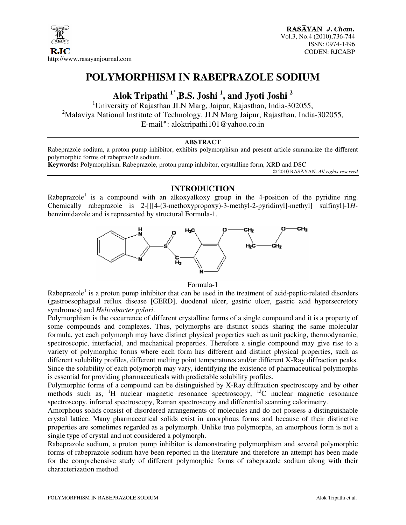

# **POLYMORPHISM IN RABEPRAZOLE SODIUM**

# **Alok Tripathi <sup>1</sup>**٭ **,B.S. Joshi <sup>1</sup> , and Jyoti Joshi <sup>2</sup>**

<sup>1</sup>University of Rajasthan JLN Marg, Jaipur, Rajasthan, India-302055, <sup>2</sup>Malaviya National Institute of Technology, JLN Marg Jaipur, Rajasthan, India-302055, E-mail٭: aloktripathi101@yahoo.co.in

#### **ABSTRACT**

Rabeprazole sodium, a proton pump inhibitor, exhibits polymorphism and present article summarize the different polymorphic forms of rabeprazole sodium.

**Keywords:** Polymorphism, Rabeprazole, proton pump inhibitor, crystalline form, XRD and DSC

© 2010 RASĀYAN. *All rights reserved*

## **INTRODUCTION**

Rabeprazole<sup>1</sup> is a compound with an alkoxyalkoxy group in the 4-position of the pyridine ring. Chemically rabeprazole is 2-[[[4-(3-methoxypropoxy)-3-methyl-2-pyridinyl]-methyl] sulfinyl]-1*H*benzimidazole and is represented by structural Formula-1.



Formula-1

Rabeprazole<sup>1</sup> is a proton pump inhibitor that can be used in the treatment of acid-peptic-related disorders (gastroesophageal reflux disease [GERD], duodenal ulcer, gastric ulcer, gastric acid hypersecretory syndromes) and *Helicobacter pylori*.

Polymorphism is the occurrence of different crystalline forms of a single compound and it is a property of some compounds and complexes. Thus, polymorphs are distinct solids sharing the same molecular formula, yet each polymorph may have distinct physical properties such as unit packing, thermodynamic, spectroscopic, interfacial, and mechanical properties. Therefore a single compound may give rise to a variety of polymorphic forms where each form has different and distinct physical properties, such as different solubility profiles, different melting point temperatures and/or different X-Ray diffraction peaks. Since the solubility of each polymorph may vary, identifying the existence of pharmaceutical polymorphs is essential for providing pharmaceuticals with predictable solubility profiles.

Polymorphic forms of a compound can be distinguished by X-Ray diffraction spectroscopy and by other methods such as, <sup>1</sup>H nuclear magnetic resonance spectroscopy, <sup>13</sup>C nuclear magnetic resonance spectroscopy, infrared spectroscopy, Raman spectroscopy and differential scanning calorimetry.

Amorphous solids consist of disordered arrangements of molecules and do not possess a distinguishable crystal lattice. Many pharmaceutical solids exist in amorphous forms and because of their distinctive properties are sometimes regarded as a polymorph. Unlike true polymorphs, an amorphous form is not a single type of crystal and not considered a polymorph.

Rabeprazole sodium, a proton pump inhibitor is demonstrating polymorphism and several polymorphic forms of rabeprazole sodium have been reported in the literature and therefore an attempt has been made for the comprehensive study of different polymorphic forms of rabeprazole sodium along with their characterization method.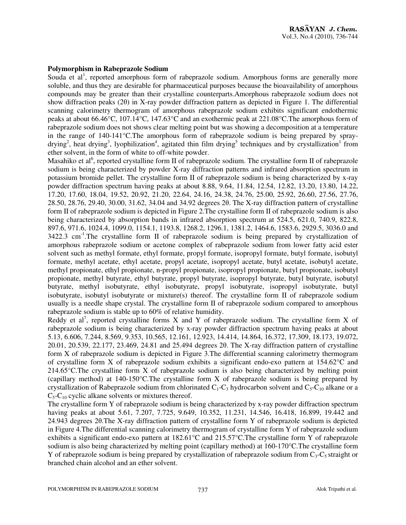### **Polymorphism in Rabeprazole Sodium**

Souda et  $al<sup>1</sup>$ , reported amorphous form of rabeprazole sodium. Amorphous forms are generally more soluble, and thus they are desirable for pharmaceutical purposes because the bioavailability of amorphous compounds may be greater than their crystalline counterparts.Amorphous rabeprazole sodium does not show diffraction peaks (2θ) in X-ray powder diffraction pattern as depicted in Figure 1. The differential scanning calorimetry thermogram of amorphous rabeprazole sodium exhibits significant endothermic peaks at about 66.46°C, 107.14°C, 147.63°C and an exothermic peak at 221.08°C.The amorphous form of rabeprazole sodium does not shows clear melting point but was showing a decomposition at a temperature in the range of 140-141°C.The amorphous form of rabeprazole sodium is being prepared by spraydrying<sup>2</sup>, heat drying<sup>3</sup>, lyophilization<sup>4</sup>, agitated thin film drying<sup>5</sup> techniques and by crystallization<sup>1</sup> from ether solvent, in the form of white to off-white powder.

Masahiko et al<sup>6</sup>, reported crystalline form II of rabeprazole sodium. The crystalline form II of rabeprazole sodium is being characterized by powder X-ray diffraction patterns and infrared absorption spectrum in potassium bromide pellet. The crystalline form II of rabeprazole sodium is being characterized by x-ray powder diffraction spectrum having peaks at about 8.88, 9.64, 11.84, 12.54, 12.82, 13.20, 13.80, 14.22, 17.20, 17.60, 18.04, 19.52, 20.92, 21.20, 22.64, 24.16, 24.38, 24.76, 25.00, 25.92, 26.60, 27.56, 27.76, 28.50, 28.76, 29.40, 30.00, 31.62, 34.04 and 34.92 degrees 2θ. The X-ray diffraction pattern of crystalline form II of rabeprazole sodium is depicted in Figure 2.The crystalline form II of rabeprazole sodium is also being characterized by absorption bands in infrared absorption spectrum at 524.5, 621.0, 740.9, 822.8, 897.6, 971.6, 1024.4, 1099.0, 1154.1, 1193.8, 1268.2, 1296.1, 1381.2, 1464.6, 1583.6, 2929.5, 3036.0 and  $3422.3$  cm<sup>-1</sup>.The crystalline form II of rabeprazole sodium is being prepared by crystallization of amorphous rabeprazole sodium or acetone complex of rabeprazole sodium from lower fatty acid ester solvent such as methyl formate, ethyl formate, propyl formate, isopropyl formate, butyl formate, isobutyl formate, methyl acetate, ethyl acetate, propyl acetate, isopropyl acetate, butyl acetate, isobutyl acetate, methyl propionate, ethyl propionate, n-propyl propionate, isopropyl propionate, butyl propionate, isobutyl propionate, methyl butyrate, ethyl butyrate, propyl butyrate, isopropyl butyrate, butyl butyrate, isobutyl butyrate, methyl isobutyrate, ethyl isobutyrate, propyl isobutyrate, isopropyl isobutyrate, butyl isobutyrate, isobutyl isobutyrate or mixture(s) thereof. The crystalline form II of rabeprazole sodium usually is a needle shape crystal. The crystalline form II of rabeprazole sodium compared to amorphous rabeprazole sodium is stable up to 60% of relative humidity.

Reddy et al<sup>7</sup>, reported crystalline forms X and Y of rabeprazole sodium. The crystalline form X of rabeprazole sodium is being characterized by x-ray powder diffraction spectrum having peaks at about 5.13, 6.606, 7.244, 8.569, 9.353, 10.565, 12.161, 12.923, 14.414, 14.864, 16.372, 17.309, 18.173, 19.072, 20.01, 20.539, 22.177, 23.469, 24.81 and 25.494 degrees 2θ. The X-ray diffraction pattern of crystalline form X of rabeprazole sodium is depicted in Figure 3.The differential scanning calorimetry thermogram of crystalline form X of rabeprazole sodium exhibits a significant endo-exo pattern at 154.62°C and 214.65°C.The crystalline form X of rabeprazole sodium is also being characterized by melting point (capillary method) at 140-150°C.The crystalline form X of rabeprazole sodium is being prepared by crystallization of Rabeprazole sodium from chlorinated  $C_1-C_3$  hydrocarbon solvent and  $C_5-C_{10}$  alkane or a  $C_5$ - $C_{10}$  cyclic alkane solvents or mixtures thereof.

The crystalline form Y of rabeprazole sodium is being characterized by x-ray powder diffraction spectrum having peaks at about 5.61, 7.207, 7.725, 9.649, 10.352, 11.231, 14.546, 16.418, 16.899, 19.442 and 24.943 degrees 2θ.The X-ray diffraction pattern of crystalline form Y of rabeprazole sodium is depicted in Figure 4.The differential scanning calorimetry thermogram of crystalline form Y of rabeprazole sodium exhibits a significant endo-exo pattern at 182.61°C and 215.57°C.The crystalline form Y of rabeprazole sodium is also being characterized by melting point (capillary method) at 160-170°C.The crystalline form Y of rabeprazole sodium is being prepared by crystallization of rabeprazole sodium from  $C_3$ -C<sub>5</sub> straight or branched chain alcohol and an ether solvent.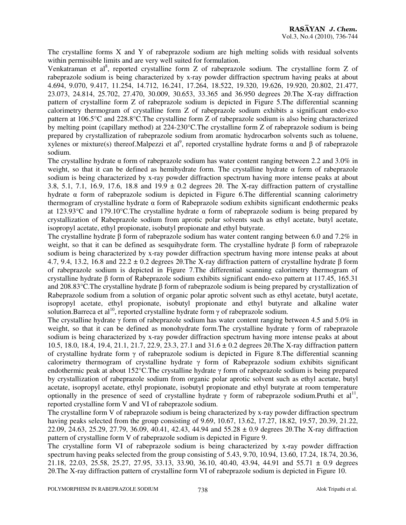The crystalline forms X and Y of rabeprazole sodium are high melting solids with residual solvents within permissible limits and are very well suited for formulation.

Venkatraman et al<sup>8</sup>, reported crystalline form Z of rabeprazole sodium. The crystalline form Z of rabeprazole sodium is being characterized by x-ray powder diffraction spectrum having peaks at about 4.694, 9.070, 9.417, 11.254, 14.712, 16.241, 17.264, 18.522, 19.320, 19.626, 19.920, 20.802, 21.477, 23.073, 24.814, 25.702, 27.470, 30.009, 30.653, 33.365 and 36.950 degrees 2θ.The X-ray diffraction pattern of crystalline form Z of rabeprazole sodium is depicted in Figure 5.The differential scanning calorimetry thermogram of crystalline form Z of rabeprazole sodium exhibits a significant endo-exo pattern at 106.5°C and 228.8°C.The crystalline form Z of rabeprazole sodium is also being characterized by melting point (capillary method) at 224-230°C.The crystalline form Z of rabeprazole sodium is being prepared by crystallization of rabeprazole sodium from aromatic hydrocarbon solvents such as toluene, xylenes or mixture(s) thereof. Malpezzi et al<sup>9</sup>, reported crystalline hydrate forms α and β of rabeprazole sodium.

The crystalline hydrate  $\alpha$  form of rabeprazole sodium has water content ranging between 2.2 and 3.0% in weight, so that it can be defined as hemihydrate form. The crystalline hydrate  $\alpha$  form of rabeprazole sodium is being characterized by x-ray powder diffraction spectrum having more intense peaks at about 3.8, 5.1, 7.1, 16.9, 17.6, 18.8 and 19.9 ± 0.2 degrees 2θ. The X-ray diffraction pattern of crystalline hydrate α form of rabeprazole sodium is depicted in Figure 6.The differential scanning calorimetry thermogram of crystalline hydrate  $\alpha$  form of Rabeprazole sodium exhibits significant endothermic peaks at 123.93°C and 179.10°C.The crystalline hydrate α form of rabeprazole sodium is being prepared by crystallization of Rabeprazole sodium from aprotic polar solvents such as ethyl acetate, butyl acetate, isopropyl acetate, ethyl propionate, isobutyl propionate and ethyl butyrate.

The crystalline hydrate β form of rabeprazole sodium has water content ranging between 6.0 and 7.2% in weight, so that it can be defined as sesquihydrate form. The crystalline hydrate β form of rabeprazole sodium is being characterized by x-ray powder diffraction spectrum having more intense peaks at about 4.7, 9.4, 13.2, 16.8 and 22.2 ± 0.2 degrees 2θ.The X-ray diffraction pattern of crystalline hydrate β form of rabeprazole sodium is depicted in Figure 7.The differential scanning calorimetry thermogram of crystalline hydrate β form of Rabeprazole sodium exhibits significant endo-exo pattern at 117.45, 165.31 and 208.83°C.The crystalline hydrate β form of rabeprazole sodium is being prepared by crystallization of Rabeprazole sodium from a solution of organic polar aprotic solvent such as ethyl acetate, butyl acetate, isopropyl acetate, ethyl propionate, isobutyl propionate and ethyl butyrate and alkaline water solution.Barreca et al<sup>10</sup>, reported crystalline hydrate form γ of rabeprazole sodium.

The crystalline hydrate  $\gamma$  form of rabeprazole sodium has water content ranging between 4.5 and 5.0% in weight, so that it can be defined as monohydrate form. The crystalline hydrate  $\gamma$  form of rabeprazole sodium is being characterized by x-ray powder diffraction spectrum having more intense peaks at about 10.5, 18.0, 18.4, 19.4, 21.1, 21.7, 22.9, 23.3, 27.1 and 31.6 ± 0.2 degrees 2θ.The X-ray diffraction pattern of crystalline hydrate form γ of rabeprazole sodium is depicted in Figure 8.The differential scanning calorimetry thermogram of crystalline hydrate  $\gamma$  form of Rabeprazole sodium exhibits significant endothermic peak at about 152°C.The crystalline hydrate γ form of rabeprazole sodium is being prepared by crystallization of rabeprazole sodium from organic polar aprotic solvent such as ethyl acetate, butyl acetate, isopropyl acetate, ethyl propionate, isobutyl propionate and ethyl butyrate at room temperature optionally in the presence of seed of crystalline hydrate  $\gamma$  form of rabeprazole sodium. Pruthi et al<sup>11</sup>, reported crystalline form V and VI of rabeprazole sodium.

The crystalline form V of rabeprazole sodium is being characterized by x-ray powder diffraction spectrum having peaks selected from the group consisting of 9.69, 10.67, 13.62, 17.27, 18.82, 19.57, 20.39, 21.22, 22.09, 24.63, 25.29, 27.79, 36.09, 40.41, 42.43, 44.94 and 55.28 ± 0.9 degrees 2θ.The X-ray diffraction pattern of crystalline form V of rabeprazole sodium is depicted in Figure 9.

The crystalline form VI of rabeprazole sodium is being characterized by x-ray powder diffraction spectrum having peaks selected from the group consisting of 5.43, 9.70, 10.94, 13.60, 17.24, 18.74, 20.36, 21.18, 22.03, 25.58, 25.27, 27.95, 33.13, 33.90, 36.10, 40.40, 43.94, 44.91 and 55.71  $\pm$  0.9 degrees 2θ.The X-ray diffraction pattern of crystalline form VI of rabeprazole sodium is depicted in Figure 10.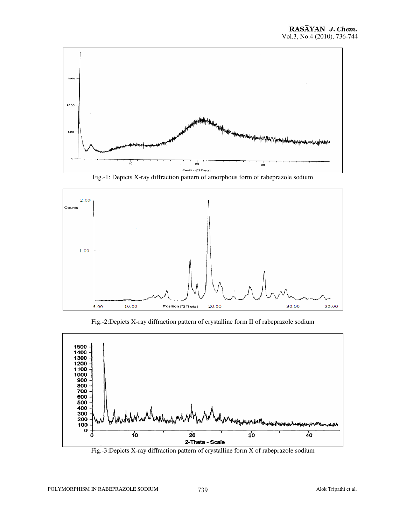

Fig.-1: Depicts X-ray diffraction pattern of amorphous form of rabeprazole sodium



Fig.-2:Depicts X-ray diffraction pattern of crystalline form II of rabeprazole sodium



Fig.-3:Depicts X-ray diffraction pattern of crystalline form X of rabeprazole sodium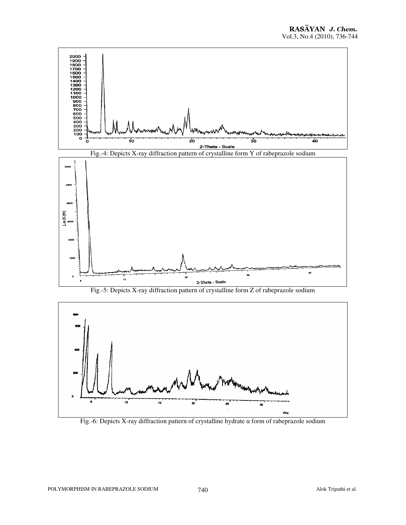

Fig.-6: Depicts X-ray diffraction pattern of crystalline hydrate α form of rabeprazole sodium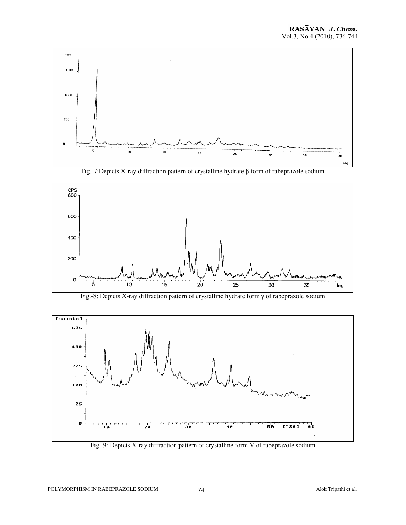![](_page_5_Figure_1.jpeg)

Fig.-7:Depicts X-ray diffraction pattern of crystalline hydrate β form of rabeprazole sodium

![](_page_5_Figure_3.jpeg)

Fig.-8: Depicts X-ray diffraction pattern of crystalline hydrate form γ of rabeprazole sodium

![](_page_5_Figure_5.jpeg)

Fig.-9: Depicts X-ray diffraction pattern of crystalline form V of rabeprazole sodium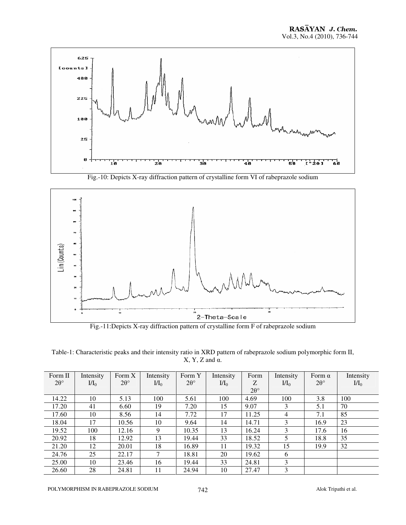![](_page_6_Figure_1.jpeg)

Fig.-10: Depicts X-ray diffraction pattern of crystalline form VI of rabeprazole sodium

![](_page_6_Figure_3.jpeg)

Fig.-11:Depicts X-ray diffraction pattern of crystalline form F of rabeprazole sodium

Table-1: Characteristic peaks and their intensity ratio in XRD pattern of rabeprazole sodium polymorphic form II,  $X, Y, Z$  and  $\alpha$ .

| Form II         | Intensity | Form $X$        | Intensity     | Form Y            | Intensity | Form            | Intensity   | Form $\alpha$     | Intensity   |
|-----------------|-----------|-----------------|---------------|-------------------|-----------|-----------------|-------------|-------------------|-------------|
| $2\theta^\circ$ | $I/I_0$   | $2\theta^\circ$ | $M_0$         | $2\theta^{\circ}$ | $M_0$     | Z               | $\rm{II}_0$ | $2\theta^{\circ}$ | $\rm{II}_0$ |
|                 |           |                 |               |                   |           | $2\theta^\circ$ |             |                   |             |
| 14.22           | 10        | 5.13            | 100           | 5.61              | 100       | 4.69            | 100         | 3.8               | 100         |
| 17.20           | 41        | 6.60            | 19            | 7.20              | 15        | 9.07            | 3           | 5.1               | 70          |
| 17.60           | 10        | 8.56            | 14            | 7.72              | 17        | 11.25           | 4           | 7.1               | 85          |
| 18.04           | 17        | 10.56           | 10            | 9.64              | 14        | 14.71           | 3           | 16.9              | 23          |
| 19.52           | 100       | 12.16           | 9             | 10.35             | 13        | 16.24           | 3           | 17.6              | 16          |
| 20.92           | 18        | 12.92           | 13            | 19.44             | 33        | 18.52           | 5           | 18.8              | 35          |
| 21.20           | 12        | 20.01           | 18            | 16.89             | 11        | 19.32           | 15          | 19.9              | 32          |
| 24.76           | 25        | 22.17           | $\mathcal{I}$ | 18.81             | 20        | 19.62           | 6           |                   |             |
| 25.00           | 10        | 23.46           | 16            | 19.44             | 33        | 24.81           | 3           |                   |             |
| 26.60           | 28        | 24.81           | 11            | 24.94             | 10        | 27.47           | 3           |                   |             |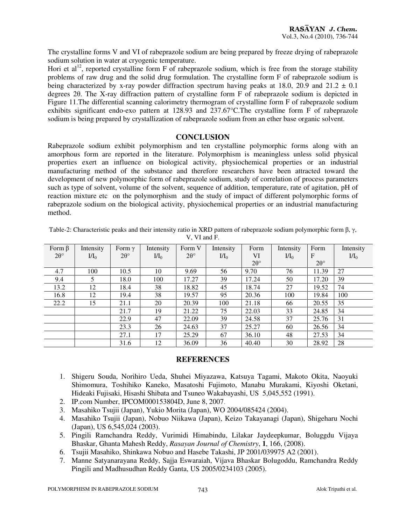The crystalline forms V and VI of rabeprazole sodium are being prepared by freeze drying of rabeprazole sodium solution in water at cryogenic temperature.

Hori et al<sup>12</sup>, reported crystalline form F of rabeprazole sodium, which is free from the storage stability problems of raw drug and the solid drug formulation. The crystalline form F of rabeprazole sodium is being characterized by x-ray powder diffraction spectrum having peaks at 18.0, 20.9 and 21.2  $\pm$  0.1 degrees 2θ. The X-ray diffraction pattern of crystalline form F of rabeprazole sodium is depicted in Figure 11.The differential scanning calorimetry thermogram of crystalline form F of rabeprazole sodium exhibits significant endo-exo pattern at 128.93 and 237.67°C.The crystalline form F of rabeprazole sodium is being prepared by crystallization of rabeprazole sodium from an ether base organic solvent.

### **CONCLUSION**

Rabeprazole sodium exhibit polymorphism and ten crystalline polymorphic forms along with an amorphous form are reported in the literature. Polymorphism is meaningless unless solid physical properties exert an influence on biological activity, physiochemical properties or an industrial manufacturing method of the substance and therefore researchers have been attracted toward the development of new polymorphic form of rabeprazole sodium, study of correlation of process parameters such as type of solvent, volume of the solvent, sequence of addition, temperature, rate of agitation, pH of reaction mixture etc on the polymorphism and the study of impact of different polymorphic forms of rabeprazole sodium on the biological activity, physiochemical properties or an industrial manufacturing method.

| Table-2: Characteristic peaks and their intensity ratio in XRD pattern of rabeprazole sodium polymorphic form $\beta$ , $\gamma$ , |  |
|------------------------------------------------------------------------------------------------------------------------------------|--|
| V. VI and F.                                                                                                                       |  |

| Form $\beta$      | Intensity | Form $\gamma$   | Intensity | Form V          | Intensity | Form            | Intensity | Form            | Intensity |
|-------------------|-----------|-----------------|-----------|-----------------|-----------|-----------------|-----------|-----------------|-----------|
| $2\theta^{\circ}$ | $I/I_0$   | $2\theta^\circ$ | $M_0$     | $2\theta^\circ$ | $M_0$     | VI              | $I/I_0$   | $\mathbf{F}$    | $I/I_0$   |
|                   |           |                 |           |                 |           | $2\theta^\circ$ |           | $2\theta^\circ$ |           |
| 4.7               | 100       | 10.5            | 10        | 9.69            | 56        | 9.70            | 76        | 11.39           | 27        |
| 9.4               | 5         | 18.0            | 100       | 17.27           | 39        | 17.24           | 50        | 17.20           | 39        |
| 13.2              | 12        | 18.4            | 38        | 18.82           | 45        | 18.74           | 27        | 19.52           | 74        |
| 16.8              | 12        | 19.4            | 38        | 19.57           | 95        | 20.36           | 100       | 19.84           | 100       |
| 22.2              | 15        | 21.1            | 20        | 20.39           | 100       | 21.18           | 66        | 20.55           | 35        |
|                   |           | 21.7            | 19        | 21.22           | 75        | 22.03           | 33        | 24.85           | 34        |
|                   |           | 22.9            | 47        | 22.09           | 39        | 24.58           | 37        | 25.76           | 31        |
|                   |           | 23.3            | 26        | 24.63           | 37        | 25.27           | 60        | 26.56           | 34        |
|                   |           | 27.1            | 17        | 25.29           | 67        | 36.10           | 48        | 27.53           | 34        |
|                   |           | 31.6            | 12        | 36.09           | 36        | 40.40           | 30        | 28.92           | 28        |

## **REFERENCES**

- 1. Shigeru Souda, Norihiro Ueda, Shuhei Miyazawa, Katsuya Tagami, Makoto Okita, Naoyuki Shimomura, Toshihiko Kaneko, Masatoshi Fujimoto, Manabu Murakami, Kiyoshi Oketani, Hideaki Fujisaki, Hisashi Shibata and Tsuneo Wakabayashi, US 5,045,552 (1991).
- 2. IP.com Number, IPCOM000153804D, June 8, 2007.
- 3. Masahiko Tsujii (Japan), Yukio Morita (Japan), WO 2004/085424 (2004).
- 4. Masahiko Tsujii (Japan), Nobuo Niikawa (Japan), Keizo Takayanagi (Japan), Shigeharu Nochi (Japan), US 6,545,024 (2003).
- 5. Pingili Ramchandra Reddy, Vurimidi Himabindu, Lilakar Jaydeepkumar, Boluggdu Vijaya Bhaskar, Ghanta Mahesh Reddy, *Rasayan Journal of Chemistry*, **1**, 166, (2008).
- 6. Tsujii Masahiko, Shinkawa Nobuo and Hasebe Takashi, JP 2001/039975 A2 (2001).
- 7. Manne Satyanarayana Reddy, Sajja Eswaraiah, Vijava Bhaskar Bolugoddu, Ramchandra Reddy Pingili and Madhusudhan Reddy Ganta, US 2005/0234103 (2005).